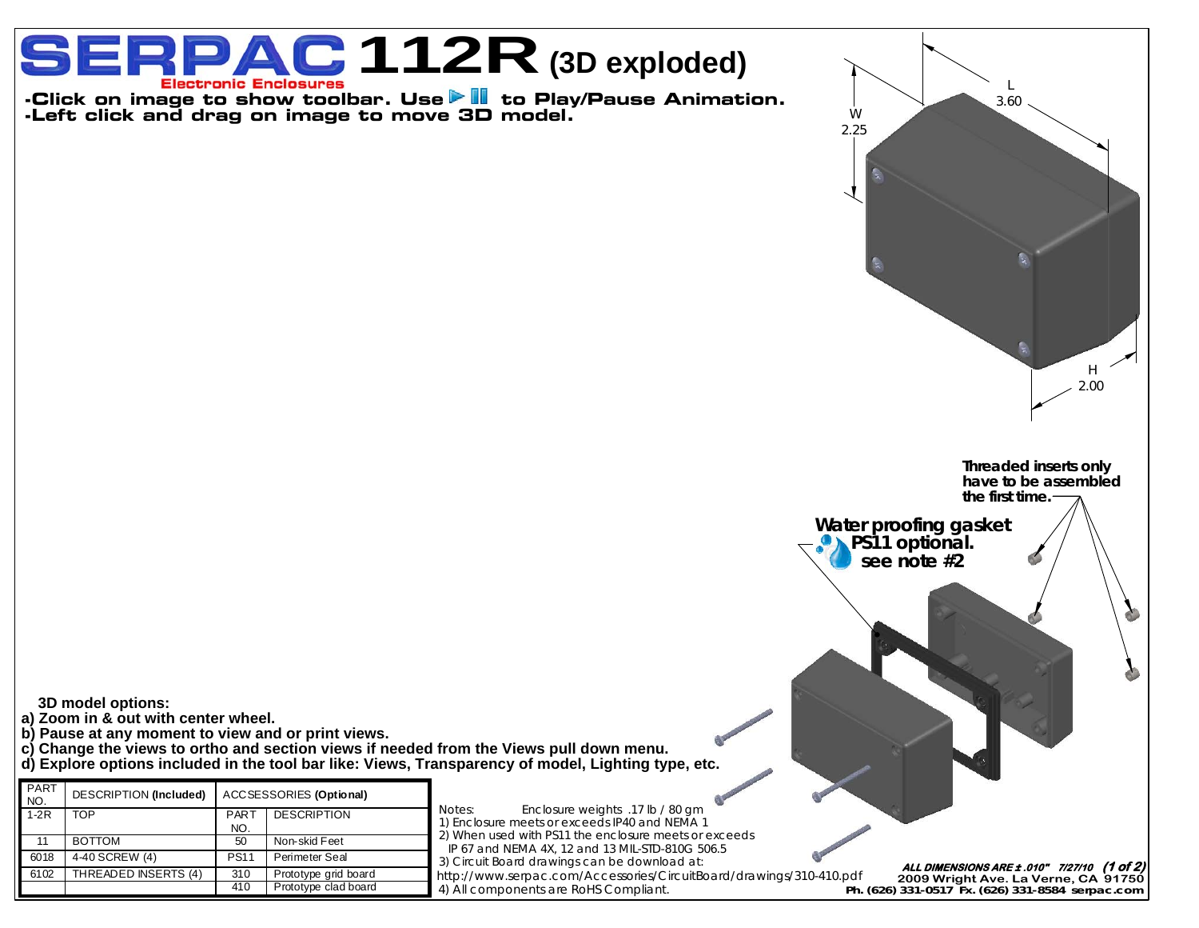